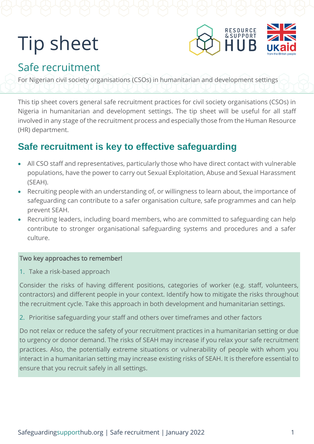# Tip sheet



# Safe recruitment

For Nigerian civil society organisations (CSOs) in humanitarian and development settings

This tip sheet covers general safe recruitment practices for civil society organisations (CSOs) in Nigeria in humanitarian and development settings. The tip sheet will be useful for all staff involved in any stage of the recruitment process and especially those from the Human Resource (HR) department.

## **Safe recruitment is key to effective safeguarding**

- All CSO staff and representatives, particularly those who have direct contact with vulnerable populations, have the power to carry out Sexual Exploitation, Abuse and Sexual Harassment (SEAH).
- Recruiting people with an understanding of, or willingness to learn about, the importance of safeguarding can contribute to a safer organisation culture, safe programmes and can help prevent SEAH.
- Recruiting leaders, including board members, who are committed to safeguarding can help contribute to stronger organisational safeguarding systems and procedures and a safer culture.

#### Two key approaches to remember!

1. Take a risk-based approach

Consider the risks of having different positions, categories of worker (e.g. staff, volunteers, contractors) and different people in your context. Identify how to mitigate the risks throughout the recruitment cycle. Take this approach in both development and humanitarian settings.

2. Prioritise safeguarding your staff and others over timeframes and other factors

Do not relax or reduce the safety of your recruitment practices in a humanitarian setting or due to urgency or donor demand. The risks of SEAH may increase if you relax your safe recruitment practices. Also, the potentially extreme situations or vulnerability of people with whom you interact in a humanitarian setting may increase existing risks of SEAH. It is therefore essential to ensure that you recruit safely in all settings.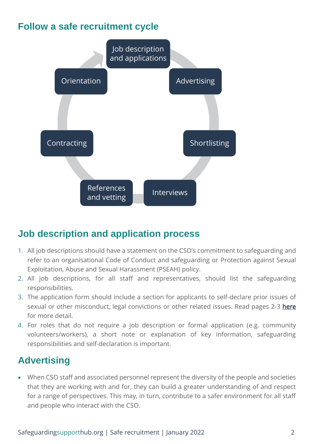#### **Follow a safe recruitment cycle**



## **Job description and application process**

- 1. All job descriptions should have a statement on the CSO's commitment to safeguarding and refer to an organisational Code of Conduct and safeguarding or Protection against Sexual Exploitation, Abuse and Sexual Harassment (PSEAH) policy.
- 2. All job descriptions, for all staff and representatives, should list the safeguarding responsibilities.
- 3. The application form should include a section for applicants to self-declare prior issues of sexual or other misconduct, legal convictions or other related issues. Read pages 2-3 [here](https://safeguardingsupporthub.org/sites/default/files/2020-11/431%20Safer_Recruitment_Guidelines.pdf) for more detail.
- 4. For roles that do not require a job description or formal application (e.g. community volunteers/workers), a short note or explanation of key information, safeguarding responsibilities and self-declaration is important.

# **Advertising**

• When CSO staff and associated personnel represent the diversity of the people and societies that they are working with and for, they can build a greater understanding of and respect for a range of perspectives. This may, in turn, contribute to a safer environment for all staff and people who interact with the CSO.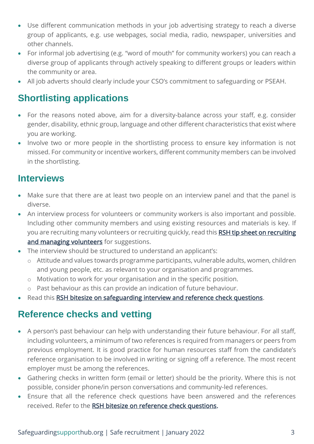- Use different communication methods in your job advertising strategy to reach a diverse group of applicants, e.g. use webpages, social media, radio, newspaper, universities and other channels.
- For informal job advertising (e.g. "word of mouth" for community workers) you can reach a diverse group of applicants through actively speaking to different groups or leaders within the community or area.
- All job adverts should clearly include your CSO's commitment to safeguarding or PSEAH.

#### **Shortlisting applications**

- For the reasons noted above, aim for a diversity-balance across your staff, e.g. consider gender, disability, ethnic group, language and other different characteristics that exist where you are working.
- Involve two or more people in the shortlisting process to ensure key information is not missed. For community or incentive workers, different community members can be involved in the shortlisting.

#### **Interviews**

- Make sure that there are at least two people on an interview panel and that the panel is diverse.
- An interview process for volunteers or community workers is also important and possible. Including other community members and using existing resources and materials is key. If you are recruiting many volunteers or recruiting quickly, read this RSH tip sheet on recruiting [and managing volunteers](https://safeguardingsupporthub.org/documents/safeguarding-practices-recruiting-and-managing-volunteers-ethiopia-0) for suggestions.
- The interview should be structured to understand an applicant's:
	- o Attitude and values towards programme participants, vulnerable adults, women, children and young people, etc. as relevant to your organisation and programmes.
	- o Motivation to work for your organisation and in the specific position.
	- o Past behaviour as this can provide an indication of future behaviour.
- Read this [RSH bitesize on safeguarding interview and reference check questions.](https://safeguardingsupporthub.org/documents/bitesize-safeguarding-interview-and-reference-check-questions)

#### **Reference checks and vetting**

- A person's past behaviour can help with understanding their future behaviour. For all staff, including volunteers, a minimum of two references is required from managers or peers from previous employment. It is good practice for human resources staff from the candidate's reference organisation to be involved in writing or signing off a reference. The most recent employer must be among the references.
- Gathering checks in written form (email or letter) should be the priority. Where this is not possible, consider phone/in person conversations and community-led references.
- Ensure that all the reference check questions have been answered and the references received. Refer to the [RSH bitesize on reference check questions.](https://safeguardingsupporthub.org/documents/bitesize-safeguarding-interview-and-reference-check-questions)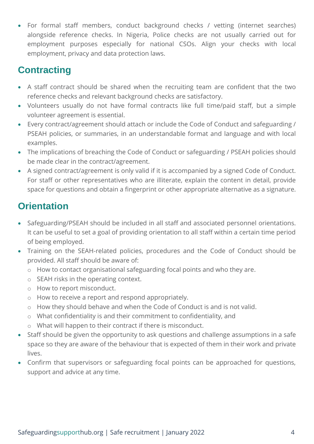• For formal staff members, conduct background checks / vetting (internet searches) alongside reference checks. In Nigeria, Police checks are not usually carried out for employment purposes especially for national CSOs. Align your checks with local employment, privacy and data protection laws.

## **Contracting**

- A staff contract should be shared when the recruiting team are confident that the two reference checks and relevant background checks are satisfactory.
- Volunteers usually do not have formal contracts like full time/paid staff, but a simple volunteer agreement is essential.
- Every contract/agreement should attach or include the Code of Conduct and safeguarding / PSEAH policies, or summaries, in an understandable format and language and with local examples.
- The implications of breaching the Code of Conduct or safeguarding / PSEAH policies should be made clear in the contract/agreement.
- A signed contract/agreement is only valid if it is accompanied by a signed Code of Conduct. For staff or other representatives who are illiterate, explain the content in detail, provide space for questions and obtain a fingerprint or other appropriate alternative as a signature.

# **Orientation**

- Safeguarding/PSEAH should be included in all staff and associated personnel orientations. It can be useful to set a goal of providing orientation to all staff within a certain time period of being employed.
- Training on the SEAH-related policies, procedures and the Code of Conduct should be provided. All staff should be aware of:
	- o How to contact organisational safeguarding focal points and who they are.
	- o SEAH risks in the operating context.
	- o How to report misconduct.
	- o How to receive a report and respond appropriately.
	- o How they should behave and when the Code of Conduct is and is not valid.
	- o What confidentiality is and their commitment to confidentiality, and
	- o What will happen to their contract if there is misconduct.
- Staff should be given the opportunity to ask questions and challenge assumptions in a safe space so they are aware of the behaviour that is expected of them in their work and private lives.
- Confirm that supervisors or safeguarding focal points can be approached for questions, support and advice at any time.